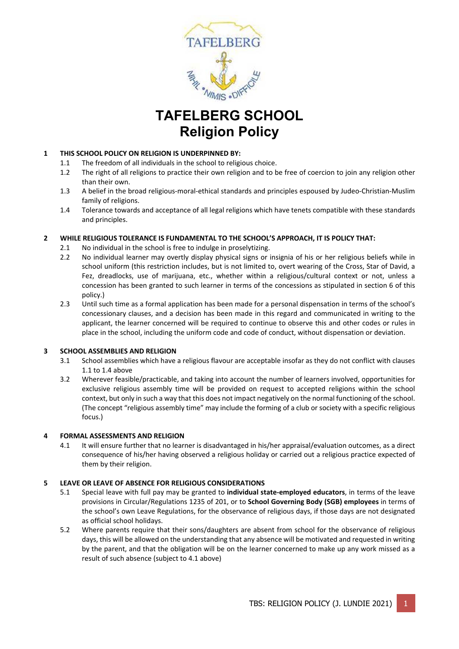

# **TAFELBERG SCHOOL Religion Policy**

### **1 THIS SCHOOL POLICY ON RELIGION IS UNDERPINNED BY:**

- 1.1 The freedom of all individuals in the school to religious choice.
- 1.2 The right of all religions to practice their own religion and to be free of coercion to join any religion other than their own.
- 1.3 A belief in the broad religious-moral-ethical standards and principles espoused by Judeo-Christian-Muslim family of religions.
- 1.4 Tolerance towards and acceptance of all legal religions which have tenets compatible with these standards and principles.

#### **2 WHILE RELIGIOUS TOLERANCE IS FUNDAMENTAL TO THE SCHOOL'S APPROACH, IT IS POLICY THAT:**

- 2.1 No individual in the school is free to indulge in proselytizing.
- 2.2 No individual learner may overtly display physical signs or insignia of his or her religious beliefs while in school uniform (this restriction includes, but is not limited to, overt wearing of the Cross, Star of David, a Fez, dreadlocks, use of marijuana, etc., whether within a religious/cultural context or not, unless a concession has been granted to such learner in terms of the concessions as stipulated in section 6 of this policy.)
- 2.3 Until such time as a formal application has been made for a personal dispensation in terms of the school's concessionary clauses, and a decision has been made in this regard and communicated in writing to the applicant, the learner concerned will be required to continue to observe this and other codes or rules in place in the school, including the uniform code and code of conduct, without dispensation or deviation.

#### **3 SCHOOL ASSEMBLIES AND RELIGION**

- 3.1 School assemblies which have a religious flavour are acceptable insofar as they do not conflict with clauses 1.1 to 1.4 above
- 3.2 Wherever feasible/practicable, and taking into account the number of learners involved, opportunities for exclusive religious assembly time will be provided on request to accepted religions within the school context, but only in such a way that this does not impact negatively on the normal functioning of the school. (The concept "religious assembly time" may include the forming of a club or society with a specific religious focus.)

#### **4 FORMAL ASSESSMENTS AND RELIGION**

4.1 It will ensure further that no learner is disadvantaged in his/her appraisal/evaluation outcomes, as a direct consequence of his/her having observed a religious holiday or carried out a religious practice expected of them by their religion.

#### **5 LEAVE OR LEAVE OF ABSENCE FOR RELIGIOUS CONSIDERATIONS**

- 5.1 Special leave with full pay may be granted to **individual state‐employed educators**, in terms of the leave provisions in Circular/Regulations 1235 of 201, or to **School Governing Body (SGB) employees** in terms of the school's own Leave Regulations, for the observance of religious days, if those days are not designated as official school holidays.
- 5.2 Where parents require that their sons/daughters are absent from school for the observance of religious days, this will be allowed on the understanding that any absence will be motivated and requested in writing by the parent, and that the obligation will be on the learner concerned to make up any work missed as a result of such absence (subject to 4.1 above)